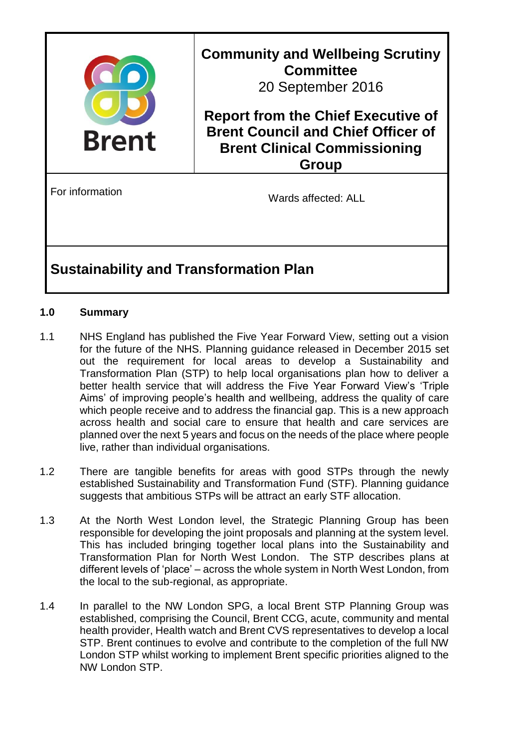

# **Sustainability and Transformation Plan**

### **1.0 Summary**

- 1.1 NHS England has published the Five Year Forward View, setting out a vision for the future of the NHS. Planning guidance released in December 2015 set out the requirement for local areas to develop a Sustainability and Transformation Plan (STP) to help local organisations plan how to deliver a better health service that will address the Five Year Forward View's 'Triple Aims' of improving people's health and wellbeing, address the quality of care which people receive and to address the financial gap. This is a new approach across health and social care to ensure that health and care services are planned over the next 5 years and focus on the needs of the place where people live, rather than individual organisations.
- 1.2 There are tangible benefits for areas with good STPs through the newly established Sustainability and Transformation Fund (STF). Planning guidance suggests that ambitious STPs will be attract an early STF allocation.
- 1.3 At the North West London level, the Strategic Planning Group has been responsible for developing the joint proposals and planning at the system level. This has included bringing together local plans into the Sustainability and Transformation Plan for North West London. The STP describes plans at different levels of 'place' – across the whole system in North West London, from the local to the sub-regional, as appropriate.
- 1.4 In parallel to the NW London SPG, a local Brent STP Planning Group was established, comprising the Council, Brent CCG, acute, community and mental health provider, Health watch and Brent CVS representatives to develop a local STP. Brent continues to evolve and contribute to the completion of the full NW London STP whilst working to implement Brent specific priorities aligned to the NW London STP.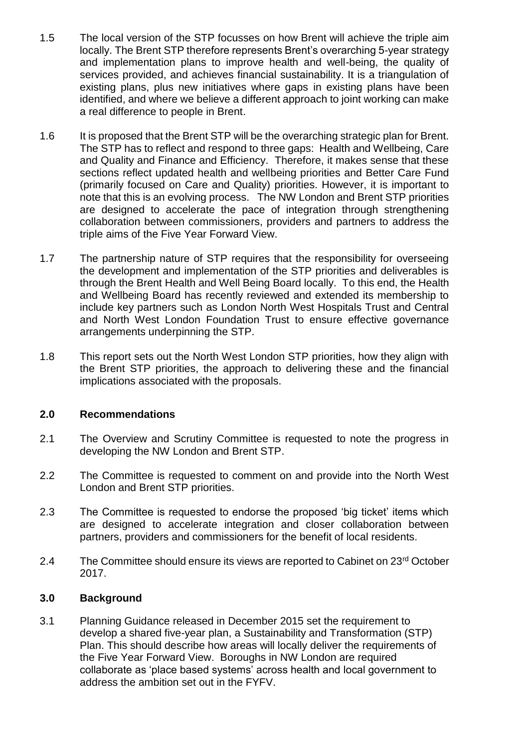- 1.5 The local version of the STP focusses on how Brent will achieve the triple aim locally. The Brent STP therefore represents Brent's overarching 5-year strategy and implementation plans to improve health and well-being, the quality of services provided, and achieves financial sustainability. It is a triangulation of existing plans, plus new initiatives where gaps in existing plans have been identified, and where we believe a different approach to joint working can make a real difference to people in Brent.
- 1.6 It is proposed that the Brent STP will be the overarching strategic plan for Brent. The STP has to reflect and respond to three gaps: Health and Wellbeing, Care and Quality and Finance and Efficiency. Therefore, it makes sense that these sections reflect updated health and wellbeing priorities and Better Care Fund (primarily focused on Care and Quality) priorities. However, it is important to note that this is an evolving process. The NW London and Brent STP priorities are designed to accelerate the pace of integration through strengthening collaboration between commissioners, providers and partners to address the triple aims of the Five Year Forward View.
- 1.7 The partnership nature of STP requires that the responsibility for overseeing the development and implementation of the STP priorities and deliverables is through the Brent Health and Well Being Board locally. To this end, the Health and Wellbeing Board has recently reviewed and extended its membership to include key partners such as London North West Hospitals Trust and Central and North West London Foundation Trust to ensure effective governance arrangements underpinning the STP.
- 1.8 This report sets out the North West London STP priorities, how they align with the Brent STP priorities, the approach to delivering these and the financial implications associated with the proposals.

### **2.0 Recommendations**

- 2.1 The Overview and Scrutiny Committee is requested to note the progress in developing the NW London and Brent STP.
- 2.2 The Committee is requested to comment on and provide into the North West London and Brent STP priorities.
- 2.3 The Committee is requested to endorse the proposed 'big ticket' items which are designed to accelerate integration and closer collaboration between partners, providers and commissioners for the benefit of local residents.
- 2.4 The Committee should ensure its views are reported to Cabinet on 23<sup>rd</sup> October 2017.

#### **3.0 Background**

3.1 Planning Guidance released in December 2015 set the requirement to develop a shared five-year plan, a Sustainability and Transformation (STP) Plan. This should describe how areas will locally deliver the requirements of the Five Year Forward View. Boroughs in NW London are required collaborate as 'place based systems' across health and local government to address the ambition set out in the FYFV.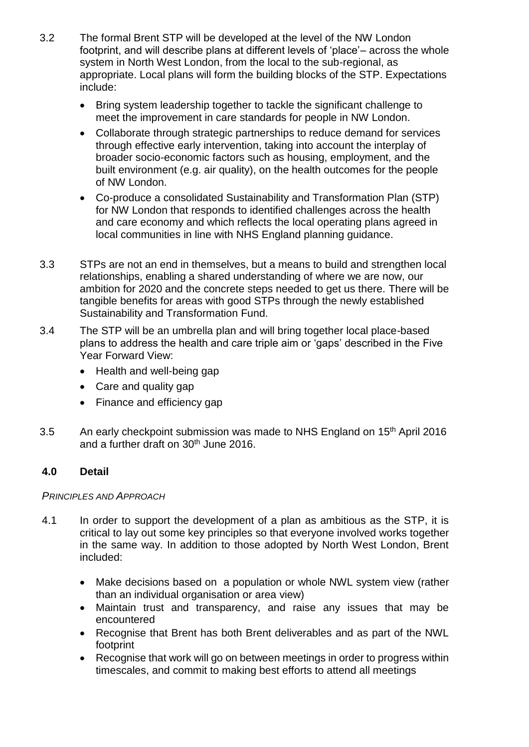- 3.2 The formal Brent STP will be developed at the level of the NW London footprint, and will describe plans at different levels of 'place'– across the whole system in North West London, from the local to the sub-regional, as appropriate. Local plans will form the building blocks of the STP. Expectations include:
	- Bring system leadership together to tackle the significant challenge to meet the improvement in care standards for people in NW London.
	- Collaborate through strategic partnerships to reduce demand for services through effective early intervention, taking into account the interplay of broader socio-economic factors such as housing, employment, and the built environment (e.g. air quality), on the health outcomes for the people of NW London.
	- Co-produce a consolidated Sustainability and Transformation Plan (STP) for NW London that responds to identified challenges across the health and care economy and which reflects the local operating plans agreed in local communities in line with NHS England planning guidance.
- 3.3 STPs are not an end in themselves, but a means to build and strengthen local relationships, enabling a shared understanding of where we are now, our ambition for 2020 and the concrete steps needed to get us there. There will be tangible benefits for areas with good STPs through the newly established Sustainability and Transformation Fund.
- 3.4 The STP will be an umbrella plan and will bring together local place-based plans to address the health and care triple aim or 'gaps' described in the Five Year Forward View:
	- Health and well-being gap
	- Care and quality gap
	- Finance and efficiency gap
- 3.5 An early checkpoint submission was made to NHS England on 15<sup>th</sup> April 2016 and a further draft on 30<sup>th</sup> June 2016.

# **4.0 Detail**

### *PRINCIPLES AND APPROACH*

- 4.1 In order to support the development of a plan as ambitious as the STP, it is critical to lay out some key principles so that everyone involved works together in the same way. In addition to those adopted by North West London, Brent included:
	- Make decisions based on a population or whole NWL system view (rather than an individual organisation or area view)
	- Maintain trust and transparency, and raise any issues that may be encountered
	- Recognise that Brent has both Brent deliverables and as part of the NWL footprint
	- Recognise that work will go on between meetings in order to progress within timescales, and commit to making best efforts to attend all meetings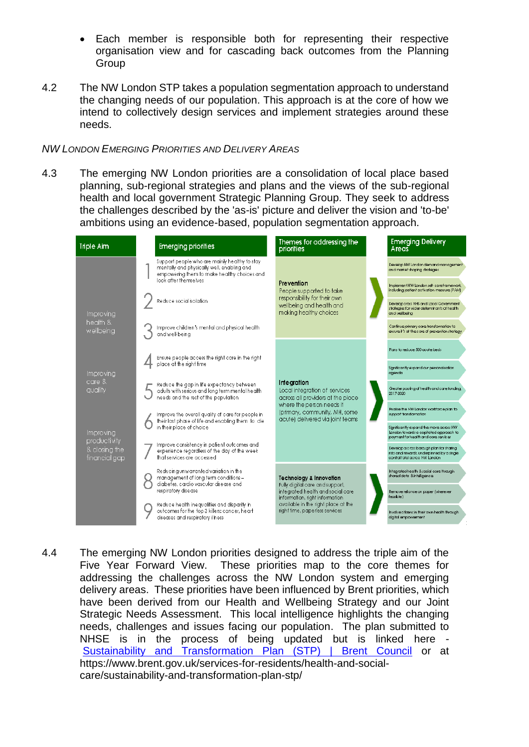- Each member is responsible both for representing their respective organisation view and for cascading back outcomes from the Planning **Group**
- 4.2 The NW London STP takes a population segmentation approach to understand the changing needs of our population. This approach is at the core of how we intend to collectively design services and implement strategies around these needs.

#### *NW LONDON EMERGING PRIORITIES AND DELIVERY AREAS*

4.3 The emerging NW London priorities are a consolidation of local place based planning, sub-regional strategies and plans and the views of the sub-regional health and local government Strategic Planning Group. They seek to address the challenges described by the 'as-is' picture and deliver the vision and 'to-be' ambitions using an evidence-based, population segmentation approach.

| <b>Triple Aim</b>                                                                                  | <b>Emerging priorities</b>                                                                                                                                           | Themes for addressing the<br>priorities                                                                                                                                                                               |  | <b>Emerging Delivery</b><br>Areas                                                                                         |
|----------------------------------------------------------------------------------------------------|----------------------------------------------------------------------------------------------------------------------------------------------------------------------|-----------------------------------------------------------------------------------------------------------------------------------------------------------------------------------------------------------------------|--|---------------------------------------------------------------------------------------------------------------------------|
|                                                                                                    | Support people who are mainly healthy to stay<br>mentally and physically well, enabling and<br>empowering them to make healthy choices and<br>look after themselves. | Prevention<br>People supported to take<br>responsibility for their own<br>wellbeing and health and<br>making healthy choices                                                                                          |  | Develop NW Landan demand management<br>and market shaping strategies                                                      |
|                                                                                                    |                                                                                                                                                                      |                                                                                                                                                                                                                       |  | Implement NW London self-careframewark,<br>including patient activation measure (PAM)                                     |
| Improving<br>health &<br>wellbeing                                                                 | Reduce social isolation                                                                                                                                              |                                                                                                                                                                                                                       |  | Develop cross NHS and Local Government<br>strategies for wider determinants of health<br>and wellbeing                    |
|                                                                                                    | Improve children's mental and physical health<br>and well-being                                                                                                      |                                                                                                                                                                                                                       |  | Continue primary care transformation to<br>ensure it's at the care of prevention strateay                                 |
| Improving<br>$core$ $\&$<br>quality<br>Improving<br>productivity<br>& closing the<br>financial gap |                                                                                                                                                                      | <b>Integration</b><br>Local integration of services<br>across all providers at the place<br>where the person needs it<br>(primary, community, MH, some<br>acute) delivered via joint teams                            |  | Plans to reduce 500 acute beds                                                                                            |
|                                                                                                    | Ensure people access the right care in the right<br>place at the right time                                                                                          |                                                                                                                                                                                                                       |  | Significantly expand our personalisation<br>agenda                                                                        |
|                                                                                                    | Reduce the gap in life expectancy between<br>adults with serious and long term mental health<br>needs and the rest of the population                                 |                                                                                                                                                                                                                       |  | Greater pooling of health and care funding,<br>2017-2020                                                                  |
|                                                                                                    | Improve the overall quality of care for people in<br>their last phase of life and enabling them to die<br>in their place of choice                                   |                                                                                                                                                                                                                       |  | Finalise the NW Landon workforceplon to<br>support transformation                                                         |
|                                                                                                    |                                                                                                                                                                      |                                                                                                                                                                                                                       |  | Significantly expand the move across NW<br>London towards a capitated approach to<br>payment for health and care services |
|                                                                                                    | Improve consistency in patient outcomes and<br>experience regardless of the day of the week<br>that services are accessed                                            |                                                                                                                                                                                                                       |  | Develop a cross barough plan for sharing<br>risks and rewards, underpinned by a single<br>control total across NW London  |
|                                                                                                    | Reducing unwarranted variation in the<br>management of long term conditions -<br>diabetes, cardio vascular disease and                                               | <b>Technology &amp; Innovation</b><br>Fully digital care and support,<br>integrated health and social care<br>information, right information<br>available in the right place at the<br>right time, paperless services |  | Integrated health & social care through<br>shared data &intelligence                                                      |
|                                                                                                    | respiratory disease<br>Reduce health inequalities and disparity in                                                                                                   |                                                                                                                                                                                                                       |  | Remove reliance on paper (wherever<br>feasble)                                                                            |
|                                                                                                    | outcomes for the top 3 killers: cancer, heart<br>diseases and respiratory illness                                                                                    |                                                                                                                                                                                                                       |  | hvolve citizens in their own health through<br>digital empowerment                                                        |

4.4 The emerging NW London priorities designed to address the triple aim of the Five Year Forward View. These priorities map to the core themes for addressing the challenges across the NW London system and emerging delivery areas. These priorities have been influenced by Brent priorities, which have been derived from our Health and Wellbeing Strategy and our Joint Strategic Needs Assessment. This local intelligence highlights the changing needs, challenges and issues facing our population. The plan submitted to NHSE is in the process of being updated but is linked here - [Sustainability and Transformation Plan \(STP\) | Brent Council](https://www.brent.gov.uk/services-for-residents/health-and-social-care/sustainability-and-transformation-plan-stp/) or at https://www.brent.gov.uk/services-for-residents/health-and-socialcare/sustainability-and-transformation-plan-stp/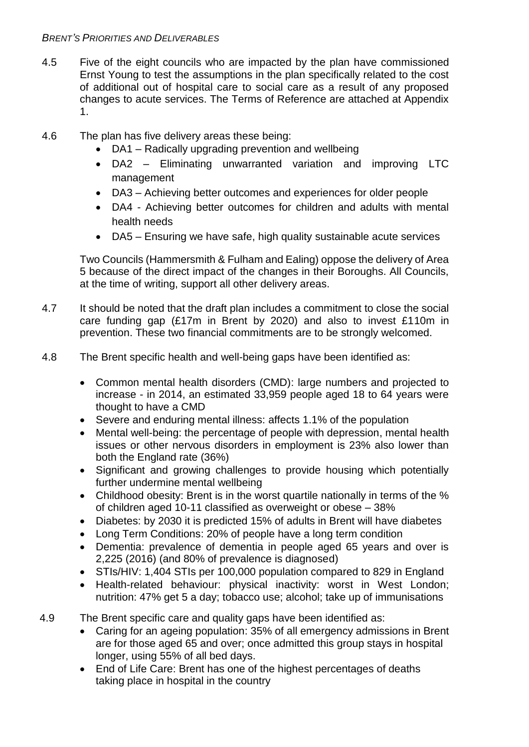### *BRENT'S PRIORITIES AND DELIVERABLES*

- 4.5 Five of the eight councils who are impacted by the plan have commissioned Ernst Young to test the assumptions in the plan specifically related to the cost of additional out of hospital care to social care as a result of any proposed changes to acute services. The Terms of Reference are attached at Appendix 1.
- 4.6 The plan has five delivery areas these being:
	- DA1 Radically upgrading prevention and wellbeing
	- DA2 Eliminating unwarranted variation and improving LTC management
	- DA3 Achieving better outcomes and experiences for older people
	- DA4 Achieving better outcomes for children and adults with mental health needs
	- DA5 Ensuring we have safe, high quality sustainable acute services

Two Councils (Hammersmith & Fulham and Ealing) oppose the delivery of Area 5 because of the direct impact of the changes in their Boroughs. All Councils, at the time of writing, support all other delivery areas.

- 4.7 It should be noted that the draft plan includes a commitment to close the social care funding gap (£17m in Brent by 2020) and also to invest £110m in prevention. These two financial commitments are to be strongly welcomed.
- 4.8 The Brent specific health and well-being gaps have been identified as:
	- Common mental health disorders (CMD): large numbers and projected to increase - in 2014, an estimated 33,959 people aged 18 to 64 years were thought to have a CMD
	- Severe and enduring mental illness: affects 1.1% of the population
	- Mental well-being: the percentage of people with depression, mental health issues or other nervous disorders in employment is 23% also lower than both the England rate (36%)
	- Significant and growing challenges to provide housing which potentially further undermine mental wellbeing
	- Childhood obesity: Brent is in the worst quartile nationally in terms of the % of children aged 10-11 classified as overweight or obese – 38%
	- Diabetes: by 2030 it is predicted 15% of adults in Brent will have diabetes
	- Long Term Conditions: 20% of people have a long term condition
	- Dementia: prevalence of dementia in people aged 65 years and over is 2,225 (2016) (and 80% of prevalence is diagnosed)
	- STIs/HIV: 1,404 STIs per 100,000 population compared to 829 in England
	- Health-related behaviour: physical inactivity: worst in West London; nutrition: 47% get 5 a day; tobacco use; alcohol; take up of immunisations
- 4.9 The Brent specific care and quality gaps have been identified as:
	- Caring for an ageing population: 35% of all emergency admissions in Brent are for those aged 65 and over; once admitted this group stays in hospital longer, using 55% of all bed days.
	- End of Life Care: Brent has one of the highest percentages of deaths taking place in hospital in the country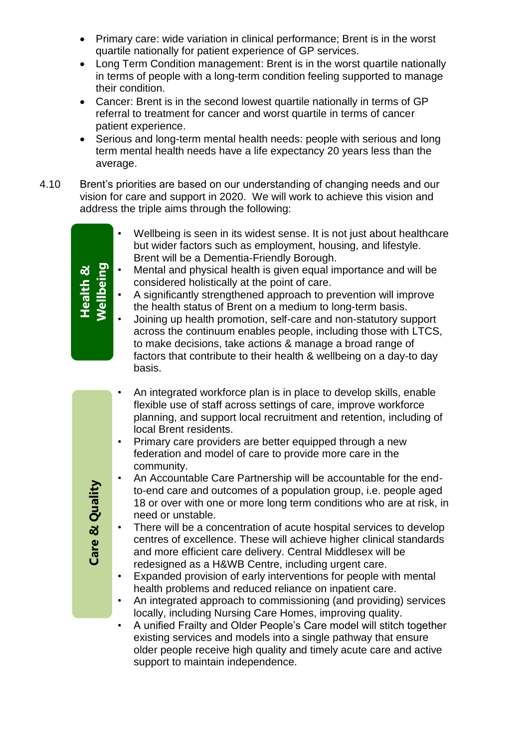- Primary care: wide variation in clinical performance; Brent is in the worst quartile nationally for patient experience of GP services.
- Long Term Condition management: Brent is in the worst quartile nationally in terms of people with a long-term condition feeling supported to manage their condition.
- Cancer: Brent is in the second lowest quartile nationally in terms of GP referral to treatment for cancer and worst quartile in terms of cancer patient experience.
- Serious and long-term mental health needs: people with serious and long term mental health needs have a life expectancy 20 years less than the average.
- 4.10 Brent's priorities are based on our understanding of changing needs and our vision for care and support in 2020. We will work to achieve this vision and address the triple aims through the following:

| Wellbeing<br>Health $\mathbf{\underline{a}}$ | Wellbeing is seen in its widest sense. It is not just about healthcare<br>but wider factors such as employment, housing, and lifestyle.<br>Brent will be a Dementia-Friendly Borough.<br>Mental and physical health is given equal importance and will be<br>$\bullet$<br>considered holistically at the point of care.<br>A significantly strengthened approach to prevention will improve<br>$\bullet$<br>the health status of Brent on a medium to long-term basis.<br>Joining up health promotion, self-care and non-statutory support<br>$\bullet$<br>across the continuum enables people, including those with LTCS,<br>to make decisions, take actions & manage a broad range of<br>factors that contribute to their health & wellbeing on a day-to day<br>basis. |
|----------------------------------------------|--------------------------------------------------------------------------------------------------------------------------------------------------------------------------------------------------------------------------------------------------------------------------------------------------------------------------------------------------------------------------------------------------------------------------------------------------------------------------------------------------------------------------------------------------------------------------------------------------------------------------------------------------------------------------------------------------------------------------------------------------------------------------|
|                                              | An integrated workforce plan is in place to develop skills, enable                                                                                                                                                                                                                                                                                                                                                                                                                                                                                                                                                                                                                                                                                                       |
|                                              | flexible use of staff across settings of care, improve workforce<br>planning, and support local recruitment and retention, including of                                                                                                                                                                                                                                                                                                                                                                                                                                                                                                                                                                                                                                  |
|                                              | local Brent residents.                                                                                                                                                                                                                                                                                                                                                                                                                                                                                                                                                                                                                                                                                                                                                   |
|                                              | Primary care providers are better equipped through a new                                                                                                                                                                                                                                                                                                                                                                                                                                                                                                                                                                                                                                                                                                                 |
|                                              | federation and model of care to provide more care in the<br>community.                                                                                                                                                                                                                                                                                                                                                                                                                                                                                                                                                                                                                                                                                                   |
|                                              | An Accountable Care Partnership will be accountable for the end-                                                                                                                                                                                                                                                                                                                                                                                                                                                                                                                                                                                                                                                                                                         |
|                                              | to-end care and outcomes of a population group, i.e. people aged<br>18 or over with one or more long term conditions who are at risk, in                                                                                                                                                                                                                                                                                                                                                                                                                                                                                                                                                                                                                                 |
| Care & Quality                               | need or unstable.                                                                                                                                                                                                                                                                                                                                                                                                                                                                                                                                                                                                                                                                                                                                                        |
|                                              | There will be a concentration of acute hospital services to develop<br>$\bullet$                                                                                                                                                                                                                                                                                                                                                                                                                                                                                                                                                                                                                                                                                         |
|                                              | centres of excellence. These will achieve higher clinical standards<br>and more efficient care delivery. Central Middlesex will be                                                                                                                                                                                                                                                                                                                                                                                                                                                                                                                                                                                                                                       |
|                                              | redesigned as a H&WB Centre, including urgent care.                                                                                                                                                                                                                                                                                                                                                                                                                                                                                                                                                                                                                                                                                                                      |
|                                              | Expanded provision of early interventions for people with mental<br>$\bullet$<br>health problems and reduced reliance on inpatient care.                                                                                                                                                                                                                                                                                                                                                                                                                                                                                                                                                                                                                                 |
|                                              | An integrated approach to commissioning (and providing) services<br>$\bullet$                                                                                                                                                                                                                                                                                                                                                                                                                                                                                                                                                                                                                                                                                            |
|                                              | locally, including Nursing Care Homes, improving quality.                                                                                                                                                                                                                                                                                                                                                                                                                                                                                                                                                                                                                                                                                                                |
|                                              | A unified Frailty and Older People's Care model will stitch together<br>٠<br>existing services and models into a single pathway that ensure                                                                                                                                                                                                                                                                                                                                                                                                                                                                                                                                                                                                                              |
|                                              | older people receive high quality and timely acute care and active                                                                                                                                                                                                                                                                                                                                                                                                                                                                                                                                                                                                                                                                                                       |

support to maintain independence.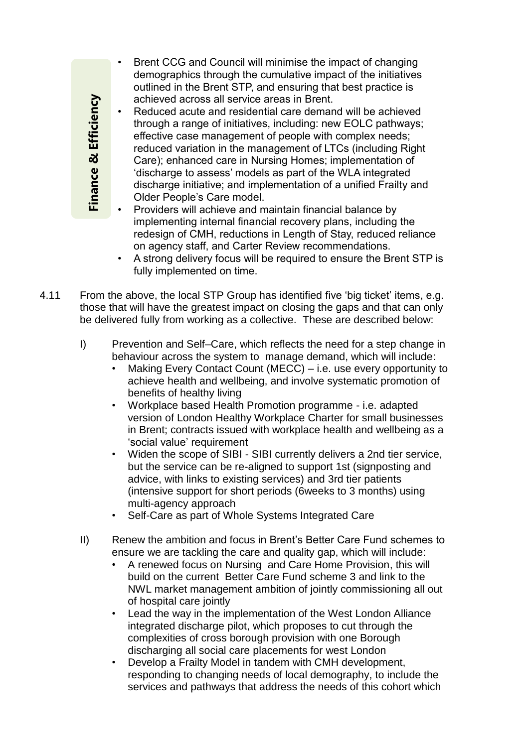• Brent CCG and Council will minimise the impact of changing demographics through the cumulative impact of the initiatives outlined in the Brent STP, and ensuring that best practice is achieved across all service areas in Brent.

Reduced acute and residential care demand will be achieved through a range of initiatives, including: new EOLC pathways; effective case management of people with complex needs; reduced variation in the management of LTCs (including Right Care); enhanced care in Nursing Homes; implementation of 'discharge to assess' models as part of the WLA integrated discharge initiative; and implementation of a unified Frailty and Older People's Care model.

- Providers will achieve and maintain financial balance by implementing internal financial recovery plans, including the redesign of CMH, reductions in Length of Stay, reduced reliance on agency staff, and Carter Review recommendations.
- A strong delivery focus will be required to ensure the Brent STP is fully implemented on time.
- 4.11 From the above, the local STP Group has identified five 'big ticket' items, e.g. those that will have the greatest impact on closing the gaps and that can only be delivered fully from working as a collective. These are described below:
	- I) Prevention and Self–Care, which reflects the need for a step change in behaviour across the system to manage demand, which will include:
		- Making Every Contact Count (MECC) i.e. use every opportunity to achieve health and wellbeing, and involve systematic promotion of benefits of healthy living
		- Workplace based Health Promotion programme i.e. adapted version of London Healthy Workplace Charter for small businesses in Brent; contracts issued with workplace health and wellbeing as a 'social value' requirement
		- Widen the scope of SIBI SIBI currently delivers a 2nd tier service, but the service can be re-aligned to support 1st (signposting and advice, with links to existing services) and 3rd tier patients (intensive support for short periods (6weeks to 3 months) using multi-agency approach
		- Self-Care as part of Whole Systems Integrated Care
	- II) Renew the ambition and focus in Brent's Better Care Fund schemes to ensure we are tackling the care and quality gap, which will include:
		- A renewed focus on Nursing and Care Home Provision, this will build on the current Better Care Fund scheme 3 and link to the NWL market management ambition of jointly commissioning all out of hospital care jointly
		- Lead the way in the implementation of the West London Alliance integrated discharge pilot, which proposes to cut through the complexities of cross borough provision with one Borough discharging all social care placements for west London
		- Develop a Frailty Model in tandem with CMH development, responding to changing needs of local demography, to include the services and pathways that address the needs of this cohort which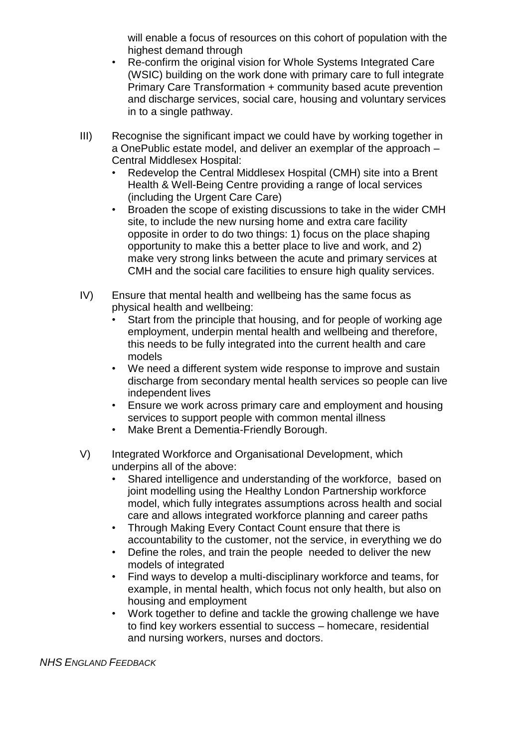will enable a focus of resources on this cohort of population with the highest demand through

- Re-confirm the original vision for Whole Systems Integrated Care (WSIC) building on the work done with primary care to full integrate Primary Care Transformation + community based acute prevention and discharge services, social care, housing and voluntary services in to a single pathway.
- III) Recognise the significant impact we could have by working together in a OnePublic estate model, and deliver an exemplar of the approach – Central Middlesex Hospital:
	- Redevelop the Central Middlesex Hospital (CMH) site into a Brent Health & Well-Being Centre providing a range of local services (including the Urgent Care Care)
	- Broaden the scope of existing discussions to take in the wider CMH site, to include the new nursing home and extra care facility opposite in order to do two things: 1) focus on the place shaping opportunity to make this a better place to live and work, and 2) make very strong links between the acute and primary services at CMH and the social care facilities to ensure high quality services.
- IV) Ensure that mental health and wellbeing has the same focus as physical health and wellbeing:
	- Start from the principle that housing, and for people of working age employment, underpin mental health and wellbeing and therefore, this needs to be fully integrated into the current health and care models
	- We need a different system wide response to improve and sustain discharge from secondary mental health services so people can live independent lives
	- Ensure we work across primary care and employment and housing services to support people with common mental illness
	- Make Brent a Dementia-Friendly Borough.
- V) Integrated Workforce and Organisational Development, which underpins all of the above:
	- Shared intelligence and understanding of the workforce, based on joint modelling using the Healthy London Partnership workforce model, which fully integrates assumptions across health and social care and allows integrated workforce planning and career paths
	- Through Making Every Contact Count ensure that there is accountability to the customer, not the service, in everything we do
	- Define the roles, and train the people needed to deliver the new models of integrated
	- Find ways to develop a multi-disciplinary workforce and teams, for example, in mental health, which focus not only health, but also on housing and employment
	- Work together to define and tackle the growing challenge we have to find key workers essential to success – homecare, residential and nursing workers, nurses and doctors.

*NHS ENGLAND FEEDBACK*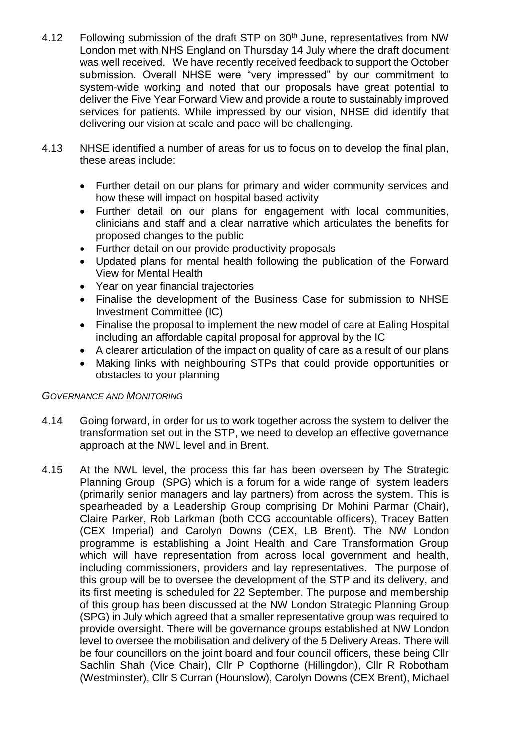- 4.12 Following submission of the draft STP on 30<sup>th</sup> June, representatives from NW London met with NHS England on Thursday 14 July where the draft document was well received. We have recently received feedback to support the October submission. Overall NHSE were "very impressed" by our commitment to system-wide working and noted that our proposals have great potential to deliver the Five Year Forward View and provide a route to sustainably improved services for patients. While impressed by our vision, NHSE did identify that delivering our vision at scale and pace will be challenging.
- 4.13 NHSE identified a number of areas for us to focus on to develop the final plan, these areas include:
	- Further detail on our plans for primary and wider community services and how these will impact on hospital based activity
	- Further detail on our plans for engagement with local communities, clinicians and staff and a clear narrative which articulates the benefits for proposed changes to the public
	- Further detail on our provide productivity proposals
	- Updated plans for mental health following the publication of the Forward View for Mental Health
	- Year on year financial trajectories
	- Finalise the development of the Business Case for submission to NHSE Investment Committee (IC)
	- Finalise the proposal to implement the new model of care at Ealing Hospital including an affordable capital proposal for approval by the IC
	- A clearer articulation of the impact on quality of care as a result of our plans
	- Making links with neighbouring STPs that could provide opportunities or obstacles to your planning

### *GOVERNANCE AND MONITORING*

- 4.14 Going forward, in order for us to work together across the system to deliver the transformation set out in the STP, we need to develop an effective governance approach at the NWL level and in Brent.
- 4.15 At the NWL level, the process this far has been overseen by The Strategic Planning Group (SPG) which is a forum for a wide range of system leaders (primarily senior managers and lay partners) from across the system. This is spearheaded by a Leadership Group comprising Dr Mohini Parmar (Chair), Claire Parker, Rob Larkman (both CCG accountable officers), Tracey Batten (CEX Imperial) and Carolyn Downs (CEX, LB Brent). The NW London programme is establishing a Joint Health and Care Transformation Group which will have representation from across local government and health, including commissioners, providers and lay representatives. The purpose of this group will be to oversee the development of the STP and its delivery, and its first meeting is scheduled for 22 September. The purpose and membership of this group has been discussed at the NW London Strategic Planning Group (SPG) in July which agreed that a smaller representative group was required to provide oversight. There will be governance groups established at NW London level to oversee the mobilisation and delivery of the 5 Delivery Areas. There will be four councillors on the joint board and four council officers, these being Cllr Sachlin Shah (Vice Chair), Cllr P Copthorne (Hillingdon), Cllr R Robotham (Westminster), Cllr S Curran (Hounslow), Carolyn Downs (CEX Brent), Michael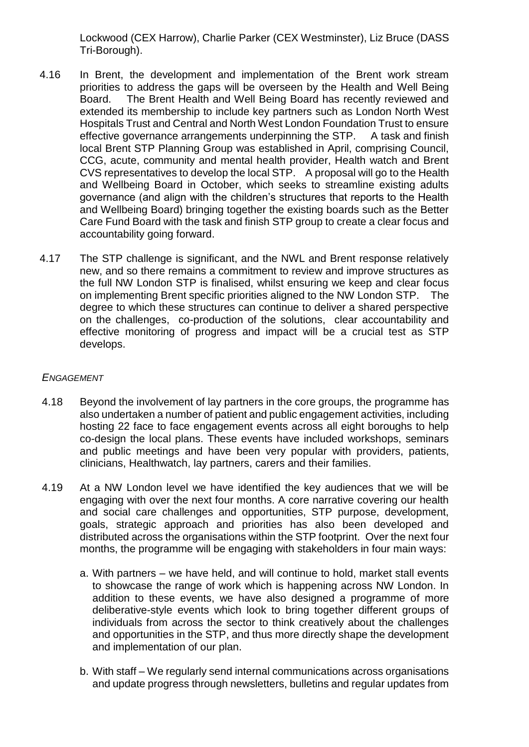Lockwood (CEX Harrow), Charlie Parker (CEX Westminster), Liz Bruce (DASS Tri-Borough).

- 4.16 In Brent, the development and implementation of the Brent work stream priorities to address the gaps will be overseen by the Health and Well Being Board. The Brent Health and Well Being Board has recently reviewed and extended its membership to include key partners such as London North West Hospitals Trust and Central and North West London Foundation Trust to ensure effective governance arrangements underpinning the STP. A task and finish local Brent STP Planning Group was established in April, comprising Council, CCG, acute, community and mental health provider, Health watch and Brent CVS representatives to develop the local STP. A proposal will go to the Health and Wellbeing Board in October, which seeks to streamline existing adults governance (and align with the children's structures that reports to the Health and Wellbeing Board) bringing together the existing boards such as the Better Care Fund Board with the task and finish STP group to create a clear focus and accountability going forward.
- 4.17 The STP challenge is significant, and the NWL and Brent response relatively new, and so there remains a commitment to review and improve structures as the full NW London STP is finalised, whilst ensuring we keep and clear focus on implementing Brent specific priorities aligned to the NW London STP. The degree to which these structures can continue to deliver a shared perspective on the challenges, co-production of the solutions, clear accountability and effective monitoring of progress and impact will be a crucial test as STP develops.

#### *ENGAGEMENT*

- 4.18 Beyond the involvement of lay partners in the core groups, the programme has also undertaken a number of patient and public engagement activities, including hosting 22 face to face engagement events across all eight boroughs to help co-design the local plans. These events have included workshops, seminars and public meetings and have been very popular with providers, patients, clinicians, Healthwatch, lay partners, carers and their families.
- 4.19 At a NW London level we have identified the key audiences that we will be engaging with over the next four months. A core narrative covering our health and social care challenges and opportunities, STP purpose, development, goals, strategic approach and priorities has also been developed and distributed across the organisations within the STP footprint. Over the next four months, the programme will be engaging with stakeholders in four main ways:
	- a. With partners we have held, and will continue to hold, market stall events to showcase the range of work which is happening across NW London. In addition to these events, we have also designed a programme of more deliberative-style events which look to bring together different groups of individuals from across the sector to think creatively about the challenges and opportunities in the STP, and thus more directly shape the development and implementation of our plan.
	- b. With staff We regularly send internal communications across organisations and update progress through newsletters, bulletins and regular updates from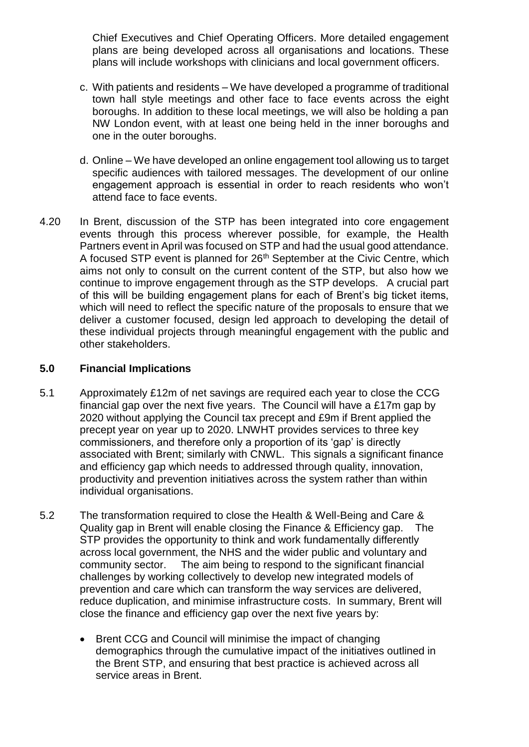Chief Executives and Chief Operating Officers. More detailed engagement plans are being developed across all organisations and locations. These plans will include workshops with clinicians and local government officers.

- c. With patients and residents We have developed a programme of traditional town hall style meetings and other face to face events across the eight boroughs. In addition to these local meetings, we will also be holding a pan NW London event, with at least one being held in the inner boroughs and one in the outer boroughs.
- d. Online We have developed an online engagement tool allowing us to target specific audiences with tailored messages. The development of our online engagement approach is essential in order to reach residents who won't attend face to face events.
- 4.20 In Brent, discussion of the STP has been integrated into core engagement events through this process wherever possible, for example, the Health Partners event in April was focused on STP and had the usual good attendance. A focused STP event is planned for 26<sup>th</sup> September at the Civic Centre, which aims not only to consult on the current content of the STP, but also how we continue to improve engagement through as the STP develops. A crucial part of this will be building engagement plans for each of Brent's big ticket items, which will need to reflect the specific nature of the proposals to ensure that we deliver a customer focused, design led approach to developing the detail of these individual projects through meaningful engagement with the public and other stakeholders.

### **5.0 Financial Implications**

- 5.1 Approximately £12m of net savings are required each year to close the CCG financial gap over the next five years. The Council will have a £17m gap by 2020 without applying the Council tax precept and £9m if Brent applied the precept year on year up to 2020. LNWHT provides services to three key commissioners, and therefore only a proportion of its 'gap' is directly associated with Brent; similarly with CNWL. This signals a significant finance and efficiency gap which needs to addressed through quality, innovation, productivity and prevention initiatives across the system rather than within individual organisations.
- 5.2 The transformation required to close the Health & Well-Being and Care & Quality gap in Brent will enable closing the Finance & Efficiency gap. The STP provides the opportunity to think and work fundamentally differently across local government, the NHS and the wider public and voluntary and community sector. The aim being to respond to the significant financial challenges by working collectively to develop new integrated models of prevention and care which can transform the way services are delivered, reduce duplication, and minimise infrastructure costs. In summary, Brent will close the finance and efficiency gap over the next five years by:
	- Brent CCG and Council will minimise the impact of changing demographics through the cumulative impact of the initiatives outlined in the Brent STP, and ensuring that best practice is achieved across all service areas in Brent.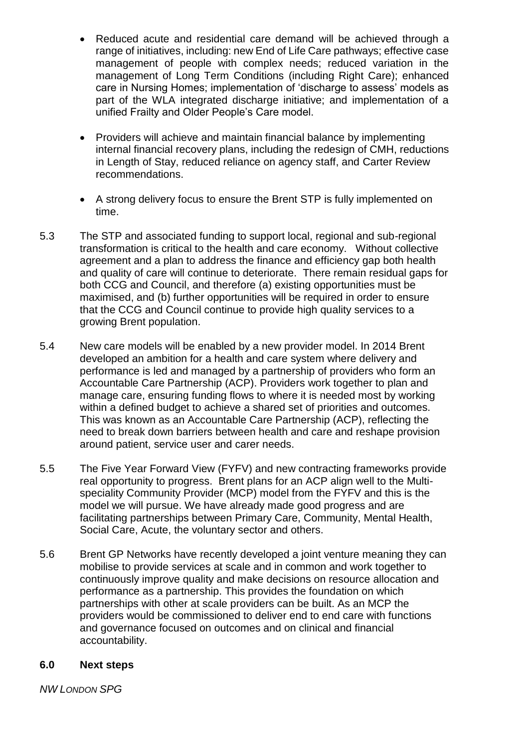- Reduced acute and residential care demand will be achieved through a range of initiatives, including: new End of Life Care pathways; effective case management of people with complex needs; reduced variation in the management of Long Term Conditions (including Right Care); enhanced care in Nursing Homes; implementation of 'discharge to assess' models as part of the WLA integrated discharge initiative; and implementation of a unified Frailty and Older People's Care model.
- Providers will achieve and maintain financial balance by implementing internal financial recovery plans, including the redesign of CMH, reductions in Length of Stay, reduced reliance on agency staff, and Carter Review recommendations.
- A strong delivery focus to ensure the Brent STP is fully implemented on time.
- 5.3 The STP and associated funding to support local, regional and sub-regional transformation is critical to the health and care economy. Without collective agreement and a plan to address the finance and efficiency gap both health and quality of care will continue to deteriorate. There remain residual gaps for both CCG and Council, and therefore (a) existing opportunities must be maximised, and (b) further opportunities will be required in order to ensure that the CCG and Council continue to provide high quality services to a growing Brent population.
- 5.4 New care models will be enabled by a new provider model. In 2014 Brent developed an ambition for a health and care system where delivery and performance is led and managed by a partnership of providers who form an Accountable Care Partnership (ACP). Providers work together to plan and manage care, ensuring funding flows to where it is needed most by working within a defined budget to achieve a shared set of priorities and outcomes. This was known as an Accountable Care Partnership (ACP), reflecting the need to break down barriers between health and care and reshape provision around patient, service user and carer needs.
- 5.5 The Five Year Forward View (FYFV) and new contracting frameworks provide real opportunity to progress. Brent plans for an ACP align well to the Multispeciality Community Provider (MCP) model from the FYFV and this is the model we will pursue. We have already made good progress and are facilitating partnerships between Primary Care, Community, Mental Health, Social Care, Acute, the voluntary sector and others.
- 5.6 Brent GP Networks have recently developed a joint venture meaning they can mobilise to provide services at scale and in common and work together to continuously improve quality and make decisions on resource allocation and performance as a partnership. This provides the foundation on which partnerships with other at scale providers can be built. As an MCP the providers would be commissioned to deliver end to end care with functions and governance focused on outcomes and on clinical and financial accountability.

### **6.0 Next steps**

*NW LONDON SPG*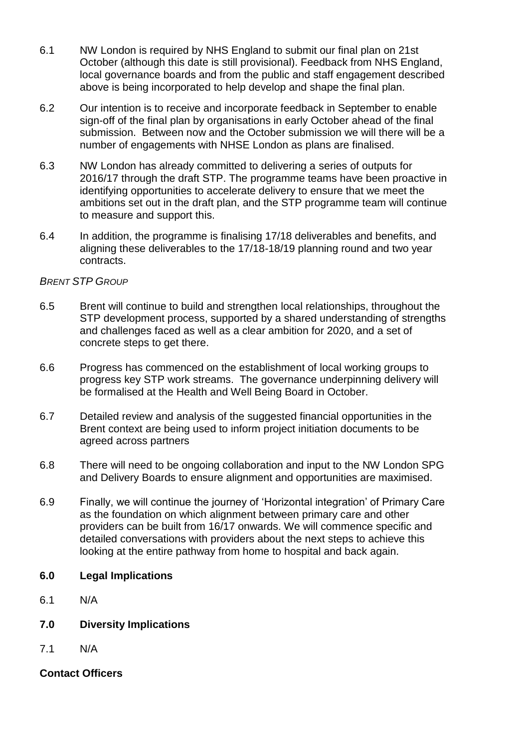- 6.1 NW London is required by NHS England to submit our final plan on 21st October (although this date is still provisional). Feedback from NHS England, local governance boards and from the public and staff engagement described above is being incorporated to help develop and shape the final plan.
- 6.2 Our intention is to receive and incorporate feedback in September to enable sign-off of the final plan by organisations in early October ahead of the final submission. Between now and the October submission we will there will be a number of engagements with NHSE London as plans are finalised.
- 6.3 NW London has already committed to delivering a series of outputs for 2016/17 through the draft STP. The programme teams have been proactive in identifying opportunities to accelerate delivery to ensure that we meet the ambitions set out in the draft plan, and the STP programme team will continue to measure and support this.
- 6.4 In addition, the programme is finalising 17/18 deliverables and benefits, and aligning these deliverables to the 17/18-18/19 planning round and two year contracts.

### *BRENT STP GROUP*

- 6.5 Brent will continue to build and strengthen local relationships, throughout the STP development process, supported by a shared understanding of strengths and challenges faced as well as a clear ambition for 2020, and a set of concrete steps to get there.
- 6.6 Progress has commenced on the establishment of local working groups to progress key STP work streams. The governance underpinning delivery will be formalised at the Health and Well Being Board in October.
- 6.7 Detailed review and analysis of the suggested financial opportunities in the Brent context are being used to inform project initiation documents to be agreed across partners
- 6.8 There will need to be ongoing collaboration and input to the NW London SPG and Delivery Boards to ensure alignment and opportunities are maximised.
- 6.9 Finally, we will continue the journey of 'Horizontal integration' of Primary Care as the foundation on which alignment between primary care and other providers can be built from 16/17 onwards. We will commence specific and detailed conversations with providers about the next steps to achieve this looking at the entire pathway from home to hospital and back again.
- **6.0 Legal Implications**
- 6.1 N/A
- **7.0 Diversity Implications**
- 7.1 N/A

### **Contact Officers**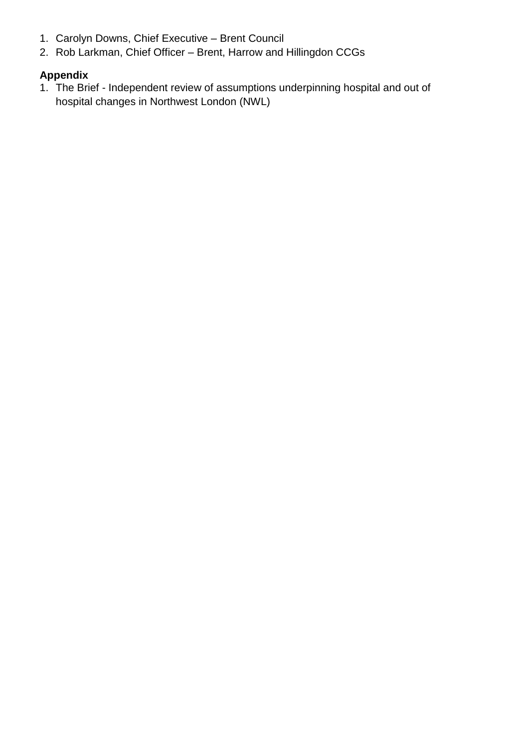- 1. Carolyn Downs, Chief Executive Brent Council
- 2. Rob Larkman, Chief Officer Brent, Harrow and Hillingdon CCGs

# **Appendix**

1. The Brief - Independent review of assumptions underpinning hospital and out of hospital changes in Northwest London (NWL)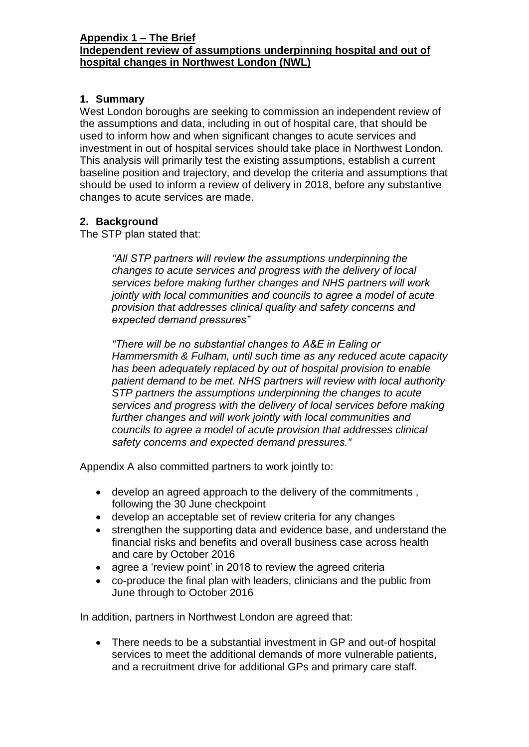#### **Appendix 1 – The Brief Independent review of assumptions underpinning hospital and out of hospital changes in Northwest London (NWL)**

### **1. Summary**

West London boroughs are seeking to commission an independent review of the assumptions and data, including in out of hospital care, that should be used to inform how and when significant changes to acute services and investment in out of hospital services should take place in Northwest London. This analysis will primarily test the existing assumptions, establish a current baseline position and trajectory, and develop the criteria and assumptions that should be used to inform a review of delivery in 2018, before any substantive changes to acute services are made.

### **2. Background**

The STP plan stated that:

*"All STP partners will review the assumptions underpinning the changes to acute services and progress with the delivery of local services before making further changes and NHS partners will work jointly with local communities and councils to agree a model of acute provision that addresses clinical quality and safety concerns and expected demand pressures"*

*"There will be no substantial changes to A&E in Ealing or Hammersmith & Fulham, until such time as any reduced acute capacity has been adequately replaced by out of hospital provision to enable patient demand to be met. NHS partners will review with local authority STP partners the assumptions underpinning the changes to acute services and progress with the delivery of local services before making further changes and will work jointly with local communities and councils to agree a model of acute provision that addresses clinical safety concerns and expected demand pressures."*

Appendix A also committed partners to work jointly to:

- develop an agreed approach to the delivery of the commitments , following the 30 June checkpoint
- develop an acceptable set of review criteria for any changes
- strengthen the supporting data and evidence base, and understand the financial risks and benefits and overall business case across health and care by October 2016
- agree a 'review point' in 2018 to review the agreed criteria
- co-produce the final plan with leaders, clinicians and the public from June through to October 2016

In addition, partners in Northwest London are agreed that:

• There needs to be a substantial investment in GP and out-of hospital services to meet the additional demands of more vulnerable patients, and a recruitment drive for additional GPs and primary care staff.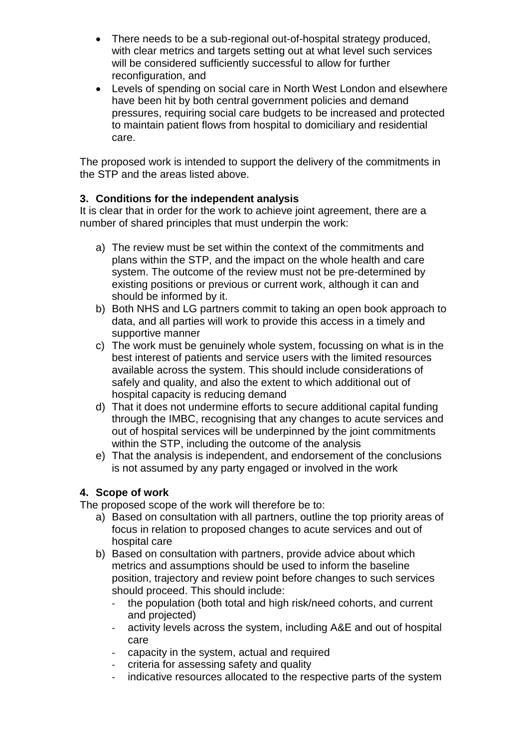- There needs to be a sub-regional out-of-hospital strategy produced, with clear metrics and targets setting out at what level such services will be considered sufficiently successful to allow for further reconfiguration, and
- Levels of spending on social care in North West London and elsewhere have been hit by both central government policies and demand pressures, requiring social care budgets to be increased and protected to maintain patient flows from hospital to domiciliary and residential care.

The proposed work is intended to support the delivery of the commitments in the STP and the areas listed above.

# **3. Conditions for the independent analysis**

It is clear that in order for the work to achieve joint agreement, there are a number of shared principles that must underpin the work:

- a) The review must be set within the context of the commitments and plans within the STP, and the impact on the whole health and care system. The outcome of the review must not be pre-determined by existing positions or previous or current work, although it can and should be informed by it.
- b) Both NHS and LG partners commit to taking an open book approach to data, and all parties will work to provide this access in a timely and supportive manner
- c) The work must be genuinely whole system, focussing on what is in the best interest of patients and service users with the limited resources available across the system. This should include considerations of safely and quality, and also the extent to which additional out of hospital capacity is reducing demand
- d) That it does not undermine efforts to secure additional capital funding through the IMBC, recognising that any changes to acute services and out of hospital services will be underpinned by the joint commitments within the STP, including the outcome of the analysis
- e) That the analysis is independent, and endorsement of the conclusions is not assumed by any party engaged or involved in the work

# **4. Scope of work**

The proposed scope of the work will therefore be to:

- a) Based on consultation with all partners, outline the top priority areas of focus in relation to proposed changes to acute services and out of hospital care
- b) Based on consultation with partners, provide advice about which metrics and assumptions should be used to inform the baseline position, trajectory and review point before changes to such services should proceed. This should include:
	- the population (both total and high risk/need cohorts, and current and projected)
	- activity levels across the system, including A&E and out of hospital care
	- capacity in the system, actual and required
	- criteria for assessing safety and quality
	- indicative resources allocated to the respective parts of the system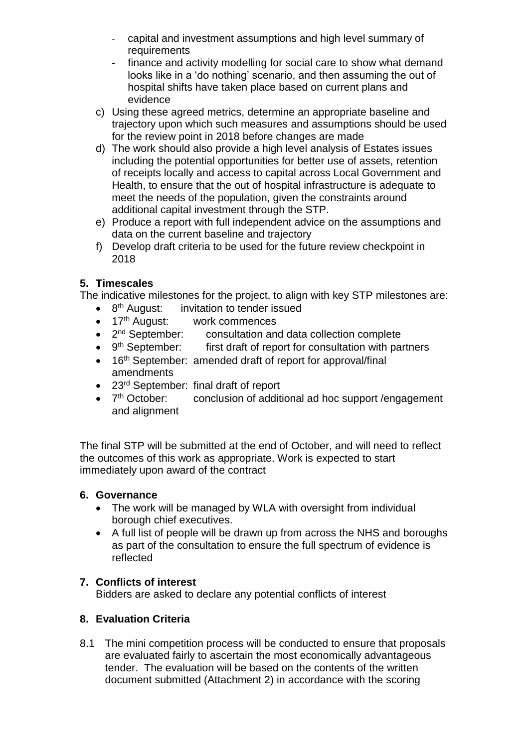- capital and investment assumptions and high level summary of requirements
- finance and activity modelling for social care to show what demand looks like in a 'do nothing' scenario, and then assuming the out of hospital shifts have taken place based on current plans and evidence
- c) Using these agreed metrics, determine an appropriate baseline and trajectory upon which such measures and assumptions should be used for the review point in 2018 before changes are made
- d) The work should also provide a high level analysis of Estates issues including the potential opportunities for better use of assets, retention of receipts locally and access to capital across Local Government and Health, to ensure that the out of hospital infrastructure is adequate to meet the needs of the population, given the constraints around additional capital investment through the STP.
- e) Produce a report with full independent advice on the assumptions and data on the current baseline and trajectory
- f) Develop draft criteria to be used for the future review checkpoint in 2018

# **5. Timescales**

The indicative milestones for the project, to align with key STP milestones are:

- 8<sup>th</sup> August: invitation to tender issued
- 17<sup>th</sup> August: work commences
- $\bullet$  2<sup>nd</sup> September: consultation and data collection complete
- $\bullet$  9<sup>th</sup> September: first draft of report for consultation with partners
- 16<sup>th</sup> September: amended draft of report for approval/final amendments
- 23<sup>rd</sup> September: final draft of report
- $\bullet$  7<sup>th</sup> October: conclusion of additional ad hoc support /engagement and alignment

The final STP will be submitted at the end of October, and will need to reflect the outcomes of this work as appropriate. Work is expected to start immediately upon award of the contract

# **6. Governance**

- The work will be managed by WLA with oversight from individual borough chief executives.
- A full list of people will be drawn up from across the NHS and boroughs as part of the consultation to ensure the full spectrum of evidence is reflected

# **7. Conflicts of interest**

Bidders are asked to declare any potential conflicts of interest

# **8. Evaluation Criteria**

8.1 The mini competition process will be conducted to ensure that proposals are evaluated fairly to ascertain the most economically advantageous tender. The evaluation will be based on the contents of the written document submitted (Attachment 2) in accordance with the scoring